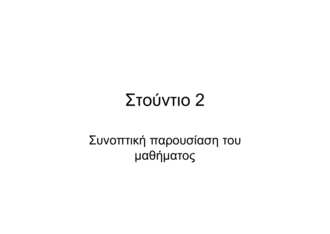#### Στούντιο 2

#### Συνοπτική παρουσίαση του μαθήματος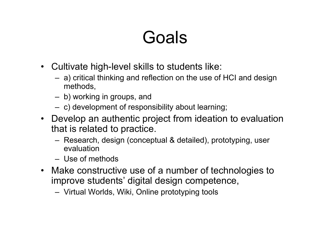#### Goals

- Cultivate high-level skills to students like:
	- $-$  a) critical thinking and reflection on the use of HCI and design methods,
	- b) working in groups, and
	- $-$  c) development of responsibility about learning;
- Develop an authentic project from ideation to evaluation that is related to practice.
	- Research, design (conceptual & detailed), prototyping, user evaluation
	- Use of methods
- Make constructive use of a number of technologies to improve students' digital design competence,
	- Virtual Worlds, Wiki, Online prototyping tools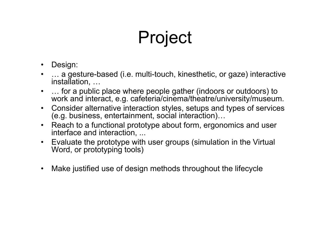# Project

- $\bullet$ Design:
- • … a gesture-based (i.e. multi-touch, kinesthetic, or gaze) interactive installation, …
- • … for a public place where people gather (indoors or outdoors) to work and interact, e.g. cafeteria/cinema/theatre/university/museum.
- $\bullet$  Consider alternative interaction styles, setups and types of services (e.g. business, entertainment, social interaction)…
- $\bullet$  Reach to a functional prototype about form, ergonomics and user interface and interaction, ...
- Evaluate the prototype with user groups (simulation in the Virtual Word, or prototyping tools)
- $\bullet$ Make justified use of design methods throughout the lifecycle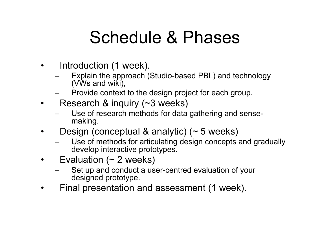#### Schedule & Phases

- • Introduction (1 week).
	- Explain the approach (Studio-based PBL) and technology (VWs and wiki),
	- Provide context to the design project for each group.
- • Research & inquiry (~3 weeks)
	- Use of research methods for data gathering and sensemaking.
- • Design (conceptual & analytic) (~ 5 weeks)
	- Use of methods for articulating design concepts and gradually develop interactive prototypes.
- • Evaluation (~ 2 weeks)
	- Set up and conduct a user-centred evaluation of your designed prototype.
- •Final presentation and assessment (1 week).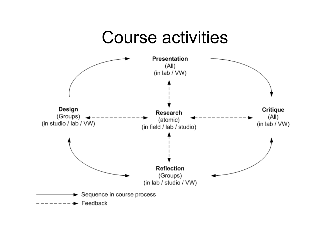#### Course activities

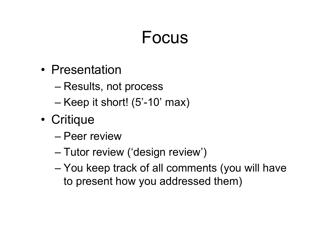#### Focus

- Presentation
	- Results, not process
	- Keep it short! (5'-10' max)
- • Critique
	- Peer review
	- Tutor review ('design review')
	- You keep track of all comments (you will have to present how you addressed them)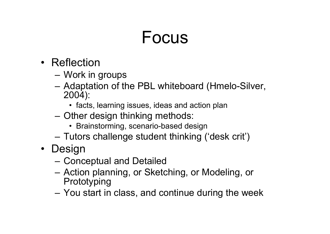#### Focus

- Reflection
	- Work in groups
	- – Adaptation of the PBL whiteboard (Hmelo-Silver, 2004):
		- facts, learning issues, ideas and action plan
	- Other design thinking methods:
		- Brainstorming, scenario-based design
	- Tutors challenge student thinking ('desk crit')
- Design
	- Conceptual and Detailed
	- Action planning, or Sketching, or Modeling, or Prototyping
	- You start in class, and continue during the week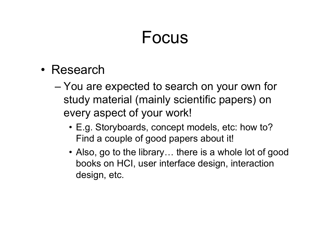#### Focus

- Research
	- You are expected to search on your own for study material (mainly scientific papers) on every aspect of your work!
		- E.g. Storyboards, concept models, etc: how to? Find a couple of good papers about it!
		- Also, go to the library… there is a whole lot of good books on HCI, user interface design, interaction design, etc.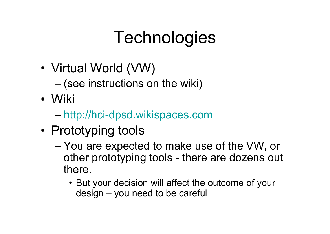## **Technologies**

- • Virtual World (VW)
	- $-$  (see instructions on the wiki)
- Wiki
	- <u>[http://hci-dpsd.wikispaces.com](http://hci-dpsd.wikispaces.com/)</u>
- Prototyping tools
	- You are expected to make use of the VW, or other prototyping tools - there are dozens out there.
		- But your decision will affect the outcome of your design – you need to be careful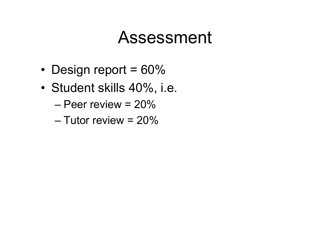#### Assessment

- •• Design report =  $60\%$
- • Student skills 40%, i.e.
	- Peer review = 20%
	- Tutor review = 20%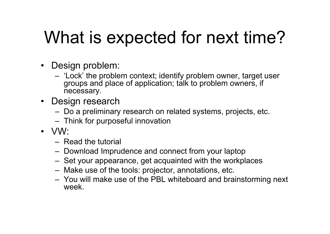### What is expected for next time?

- Design problem:
	- 'Lock' the problem context; identify problem owner, target user groups and place of application; talk to problem owners, if necessary.
- Design research
	- Do a preliminary research on related systems, projects, etc.
	- $-$  Think for purposeful innovation
- VW:
	- Read the tutorial
	- Download Imprudence and connect from your laptop
	- Set your appearance, get acquainted with the workplaces
	- Make use of the tools: projector, annotations, etc.
	- You will make use of the PBL whiteboard and brainstorming next week.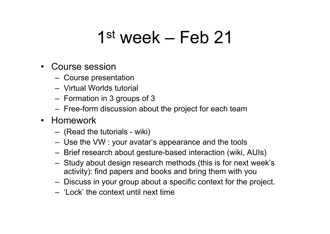#### 1st week – Feb 21

#### •Course session

- Course presentation
- Virtual Worlds tutorial
- $-$  Formation in 3 groups of 3
- Free-form discussion about the project for each team

#### • Homework

- (Read the tutorials wiki)
- Use the VW : your avatar's appearance and the tools
- Brief research about gesture-based interaction (wiki, AUIs)
- Study about design research methods (this is for next week's activity): find papers and books and bring them with you
- Discuss in your group about a specific context for the project.
- 'Lock' the context until next time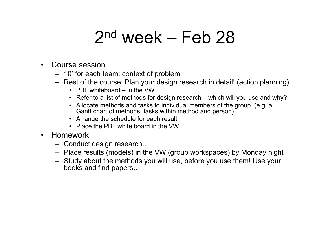#### 2nd week – Feb 28

- • Course session
	- 10' for each team: context of problem
	- Rest of the course: Plan your design research in detail! (action planning)
		- PBL whiteboard in the VW
		- Refer to a list of methods for design research which will you use and why?
		- Allocate methods and tasks to individual members of the group. (e.g. a Gantt chart of methods, tasks within method and person)
		- Arrange the schedule for each result
		- Place the PBL white board in the VW
- • Homework
	- Conduct design research…
	- Place results (models) in the VW (group workspaces) by Monday night
	- Study about the methods you will use, before you use them! Use your books and find papers…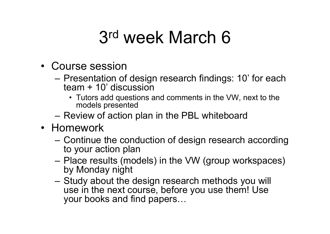#### 3rd week March 6

- Course session
	- Presentation of design research findings: 10' for each team + 10' discussion
		- Tutors add questions and comments in the VW, next to the models presented
	- Review of action plan in the PBL whiteboard
- Homework
	- Continue the conduction of design research according to your action plan
	- Place results (models) in the VW (group workspaces) by Monday night
	- –– Study about the design research methods you will use in the next course, before you use them! Use your books and find papers…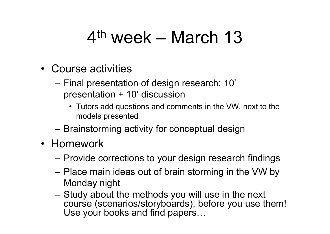#### 4th week – March 13

- Course activities
	- $-$  Final presentation of design research: 10'  $\,$ presentation + 10' discussion
		- Tutors add questions and comments in the VW, next to the models presented
	- Brainstorming activity for conceptual design
- Homework
	- Provide corrections to your design research findings
	- Place main ideas out of brain storming in the VW by Monday night
	- – Study about the methods you will use in the next course (scenarios/storyboards), before you use them! Use your books and find papers…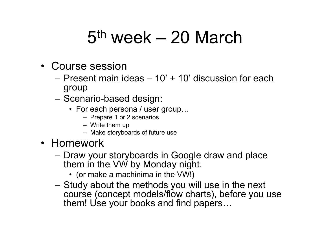#### 5th week – 20 March

- Course session
	- Present main ideas 10' + 10' discussion for each group
	- –– Scenario-based design:
		- For each persona / user group…
			- Prepare 1 or 2 scenarios
			- Write them up
			- Make storyboards of future use
- Homework
	- – Draw your storyboards in Google draw and place them in the VW by Monday night.
		- (or make a machinima in the VW!)
	- – Study about the methods you will use in the next course (concept models/flow charts), before you use them! Use your books and find papers…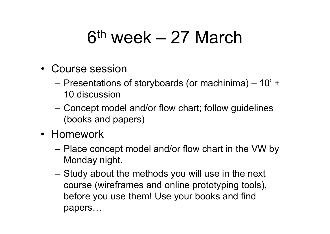#### 6th week – 27 March

- Course session
	- $-$  Presentations of storyboards (or machinima)  $-$  10' +  $-$ 10 discussion
	- – Concept model and/or flow chart; follow guidelines (books and papers)
- Homework
	- Place concept model and/or flow chart in the VW by Monday night.
	- Study about the methods you will use in the next course (wireframes and online prototyping tools), before you use them! Use your books and find papers…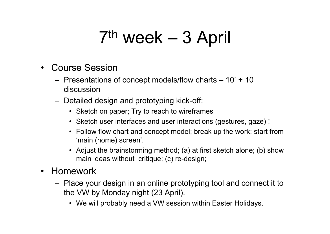#### 7th week – 3 April

- • Course Session
	- $-$  Presentations of concept models/flow charts  $-$  10' + 10  $\,$ discussion
	- Detailed design and prototyping kick-off:
		- Sketch on paper; Try to reach to wireframes
		- Sketch user interfaces and user interactions (gestures, gaze) !
		- Follow flow chart and concept model; break up the work: start from 'main (home) screen'.
		- Adjust the brainstorming method; (a) at first sketch alone; (b) show main ideas without critique; (c) re-design;
- Homework
	- Place your design in an online prototyping tool and connect it to the VW by Monday night (23 April).
		- We will probably need a VW session within Easter Holidays.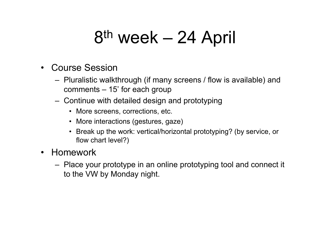#### 8<sup>th</sup> week – 24 April

- $\bullet$  Course Session
	- Pluralistic walkthrough (if many screens / flow is available) and comments – 15' for each group
	- Continue with detailed design and prototyping
		- More screens, corrections, etc.
		- More interactions (gestures, gaze)
		- • Break up the work: vertical/horizontal prototyping? (by service, or flow chart level?)
- $\bullet$  Homework
	- Place your prototype in an online prototyping tool and connect it to the VW by Monday night.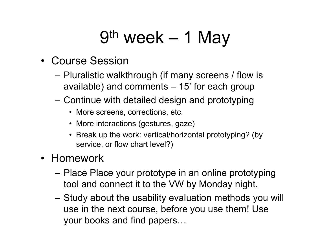#### 9th week – 1 May

#### • Course Session

- Pluralistic walkthrough (if many screens / flow is available) and comments – 15' for each group
- Continue with detailed design and prototyping
	- More screens, corrections, etc.
	- More interactions (gestures, gaze)
	- • Break up the work: vertical/horizontal prototyping? (by service, or flow chart level?)

#### • Homework

- Place Place your prototype in an online prototyping tool and connect it to the VW by Monday night.
- Study about the usability evaluation methods you will use in the next course, before you use them! Use your books and find papers…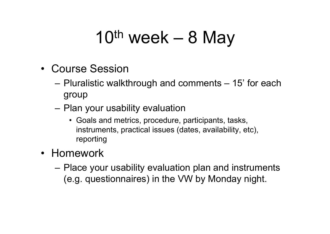### $10<sup>th</sup>$  week – 8 May

- Course Session
	- Pluralistic walkthrough and comments 15' for each group
	- – $-$  Plan your usability evaluation
		- Goals and metrics, procedure, participants, tasks, instruments, practical issues (dates, availability, etc), reporting
- Homework
	- Place your usability evaluation plan and instruments (e.g. questionnaires) in the VW by Monday night.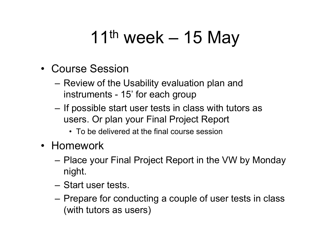## 11<sup>th</sup> week – 15 May

- Course Session
	- Review of the Usability evaluation plan and instruments - 15' for each group
	- – $-$  If possible start user tests in class with tutors as users. Or plan your Final Project Report
		- To be delivered at the final course session
- Homework
	- Place your Final Project Report in the VW by Monday night.
	- Start user tests.
	- –– Prepare for conducting a couple of user tests in class (with tutors as users)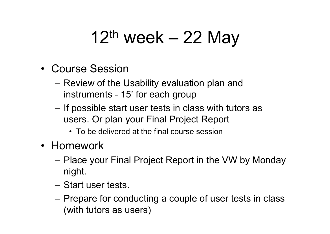### $12<sup>th</sup>$  week – 22 May

- Course Session
	- Review of the Usability evaluation plan and instruments - 15' for each group
	- – $-$  If possible start user tests in class with tutors as users. Or plan your Final Project Report
		- To be delivered at the final course session
- Homework
	- Place your Final Project Report in the VW by Monday night.
	- Start user tests.
	- –– Prepare for conducting a couple of user tests in class (with tutors as users)